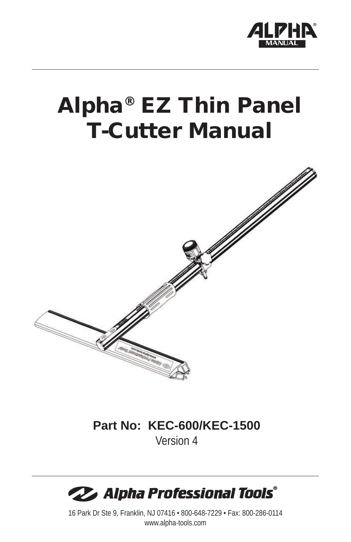

# Alpha® EZ Thin Panel T-Cutter Manual



### **Part No: KEC-600/KEC-1500** Version 4



16 Park Dr Ste 9, Franklin, NJ 07416 • 800-648-7229 • Fax: 800-286-0114 www.alpha-tools.com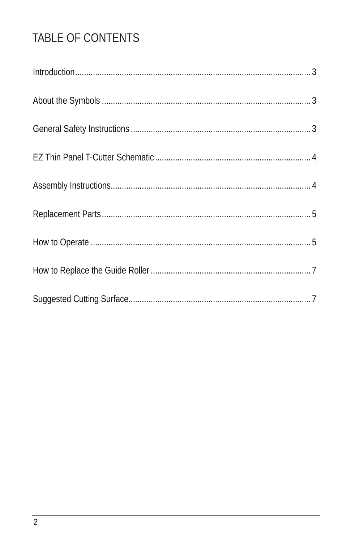# TABLE OF CONTENTS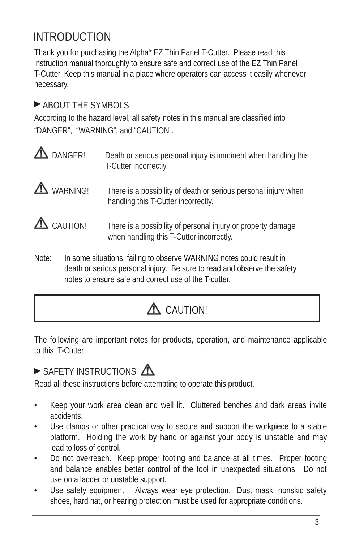# INTRODUCTION

Thank you for purchasing the Alpha® EZ Thin Panel T-Cutter. Please read this instruction manual thoroughly to ensure safe and correct use of the EZ Thin Panel T-Cutter. Keep this manual in a place where operators can access it easily whenever necessary.

### **ABOUT THE SYMBOLS**

According to the hazard level, all safety notes in this manual are classified into "DANGER", "WARNING", and "CAUTION".

- $\triangle$  DANGER! Death or serious personal injury is imminent when handling this T-Cutter incorrectly.
- $\triangle$  WARNING! There is a possibility of death or serious personal injury when handling this T-Cutter incorrectly.
- $\triangle$  CAUTION! There is a possibility of personal injury or property damage when handling this T-Cutter incorrectly.
- Note: In some situations, failing to observe WARNING notes could result in death or serious personal injury. Be sure to read and observe the safety notes to ensure safe and correct use of the T-cutter.

# A CAUTION!

The following are important notes for products, operation, and maintenance applicable to this T-Cutter

## $\blacktriangleright$  SAFETY INSTRUCTIONS  $\bigwedge$

Read all these instructions before attempting to operate this product.

- Keep your work area clean and well lit. Cluttered benches and dark areas invite accidents.
- Use clamps or other practical way to secure and support the workpiece to a stable platform. Holding the work by hand or against your body is unstable and may lead to loss of control.
- Do not overreach. Keep proper footing and balance at all times. Proper footing and balance enables better control of the tool in unexpected situations. Do not use on a ladder or unstable support.
- Use safety equipment. Always wear eye protection. Dust mask, nonskid safety shoes, hard hat, or hearing protection must be used for appropriate conditions.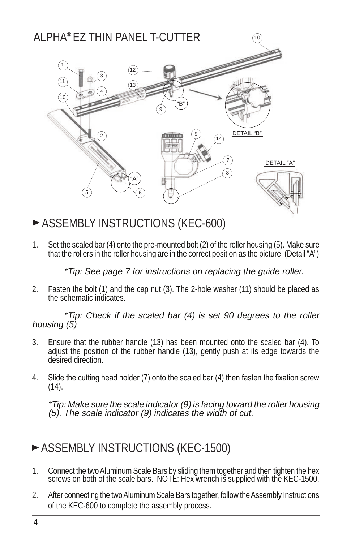#### ALPHA® EZ THIN PANEL T-CUTTER $10$ 1 12 3 11 13 4 10 "B" 9 DETAIL "B" finning in 2  $(14)$ 7 DETAIL "A" 8 "A" 5)  $\vee$  (6

ASSEMBLY INSTRUCTIONS (KEC-600)

1. Set the scaled bar (4) onto the pre-mounted bolt (2) of the roller housing (5). Make sure that the rollers in the roller housing are in the correct position as the picture. (Detail "A")

\*Tip: See page 7 for instructions on replacing the guide roller.

2. Fasten the bolt (1) and the cap nut (3). The 2-hole washer (11) should be placed as the schematic indicates.

\*Tip: Check if the scaled bar (4) is set 90 degrees to the roller housing (5)

- 3. Ensure that the rubber handle (13) has been mounted onto the scaled bar (4). To adjust the position of the rubber handle (13), gently push at its edge towards the desired direction.
- 4. Slide the cutting head holder (7) onto the scaled bar (4) then fasten the fixation screw  $(14)$ .

\*Tip: Make sure the scale indicator (9) is facing toward the roller housing (5). The scale indicator (9) indicates the width of cut.

## **ASSEMBLY INSTRUCTIONS (KEC-1500)**

- 1. Connect the two Aluminum Scale Bars by sliding them together and then tighten the hex screws on both of the scale bars. NOTE: Hex wrench is supplied with the KEC-1500.
- 2. After connecting the two Aluminum Scale Bars together, follow the Assembly Instructions of the KEC-600 to complete the assembly process.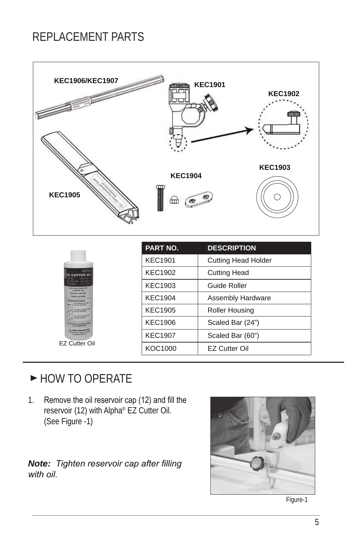## REPLACEMENT PARTS



| <b>ALFIG</b><br><b>CUTTER OIL</b><br>600100<br>V2 Giller's<br>West (2)<br><b>Laborage Autor that</b><br><b>Standards</b><br><b>Televisie cume it's</b><br>· Cleans up assite<br>of Providential<br><b>Goodman Cor Clufts</b><br>and they will be their<br><b>EZ PARA TANK (812)</b><br>Farmer AGOST<br><b>AZ Das Parel SOR</b><br>For by Miller<br><b>ING'AL SUPPORT</b><br><b>President Avenue Com</b><br>EZ Cutter Oil | <b>PART NO.</b> | <b>DESCRIPTION</b>         |
|--------------------------------------------------------------------------------------------------------------------------------------------------------------------------------------------------------------------------------------------------------------------------------------------------------------------------------------------------------------------------------------------------------------------------|-----------------|----------------------------|
|                                                                                                                                                                                                                                                                                                                                                                                                                          | <b>KEC1901</b>  | <b>Cutting Head Holder</b> |
|                                                                                                                                                                                                                                                                                                                                                                                                                          | <b>KEC1902</b>  | <b>Cutting Head</b>        |
|                                                                                                                                                                                                                                                                                                                                                                                                                          | KEC1903         | Guide Roller               |
|                                                                                                                                                                                                                                                                                                                                                                                                                          | <b>KEC1904</b>  | <b>Assembly Hardware</b>   |
|                                                                                                                                                                                                                                                                                                                                                                                                                          | <b>KEC1905</b>  | <b>Roller Housing</b>      |
|                                                                                                                                                                                                                                                                                                                                                                                                                          | <b>KEC1906</b>  | Scaled Bar (24")           |
|                                                                                                                                                                                                                                                                                                                                                                                                                          | <b>KEC1907</b>  | Scaled Bar (60")           |
|                                                                                                                                                                                                                                                                                                                                                                                                                          | KOC1000         | <b>EZ Cutter Oil</b>       |

## HOW TO OPERATE

1. Remove the oil reservoir cap (12) and fill the reservoir (12) with Alpha<sup>®</sup> EZ Cutter Oil. (See Figure -1)

#### *Note: Tighten reservoir cap after filling with oil.*



Figure-1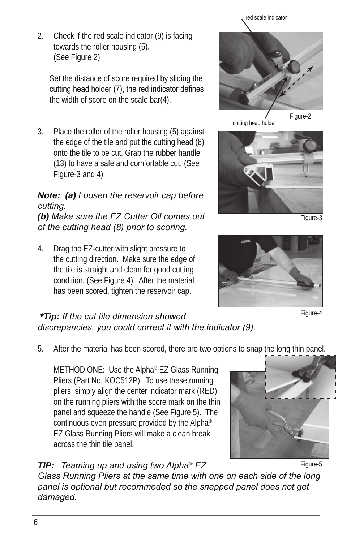#### 2. Check if the red scale indicator (9) is facing towards the roller housing (5). (See Figure 2)

Set the distance of score required by sliding the cutting head holder (7), the red indicator defines the width of score on the scale bar(4).

3. Place the roller of the roller housing (5) against the edge of the tile and put the cutting head (8) onto the tile to be cut. Grab the rubber handle (13) to have a safe and comfortable cut. (See Figure-3 and 4)

#### *Note: (a) Loosen the reservoir cap before cutting.*

*(b) Make sure the EZ Cutter Oil comes out of the cutting head (8) prior to scoring.*

4. Drag the EZ-cutter with slight pressure to the cutting direction. Make sure the edge of the tile is straight and clean for good cutting condition. (See Figure 4) After the material has been scored, tighten the reservoir cap.



Figure-4

#### *\*Tip: If the cut tile dimension showed discrepancies, you could correct it with the indicator (9).*

5. After the material has been scored, there are two options to snap the long thin panel.

METHOD ONE: Use the Alpha® EZ Glass Running Pliers (Part No. KOC512P). To use these running pliers, simply align the center indicator mark (RED) on the running pliers with the score mark on the thin panel and squeeze the handle (See Figure 5). The continuous even pressure provided by the Alpha® EZ Glass Running Pliers will make a clean break across the thin tile panel.

### *TIP: Teaming up and using two Alpha® EZ*

*Glass Running Pliers at the same time with one on each side of the long panel is optional but recommeded so the snapped panel does not get damaged.*

#### Figure-5





red scale indicator

cutting head holder



Figure-2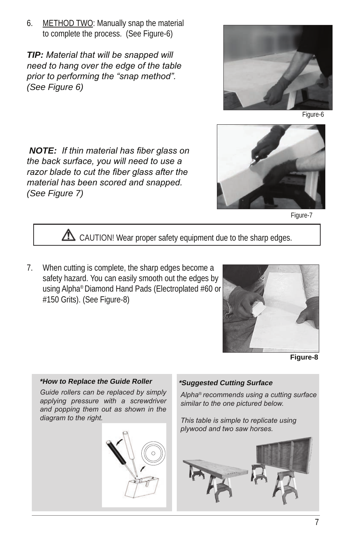6. METHOD TWO: Manually snap the material to complete the process. (See Figure-6)

*TIP: Material that will be snapped will need to hang over the edge of the table prior to performing the "snap method". (See Figure 6)*



Figure-6

*NOTE: If thin material has fiber glass on the back surface, you will need to use a razor blade to cut the fiber glass after the material has been scored and snapped. (See Figure 7)*



Figure-7

 $\triangle$  CAUTION! Wear proper safety equipment due to the sharp edges.

7. When cutting is complete, the sharp edges become a safety hazard. You can easily smooth out the edges by using Alpha® Diamond Hand Pads (Electroplated #60 or #150 Grits). (See Figure-8)



**Figure-8**

# *Guide rollers can be replaced by simply applying pressure with a screwdriver and popping them out as shown in the diagram to the right.* **\*How to Replace the Guide Roller**

#### **\*Suggested Cutting Surface**

*Alpha® recommends using a cutting surface similar to the one pictured below.*

*This table is simple to replicate using plywood and two saw horses.*